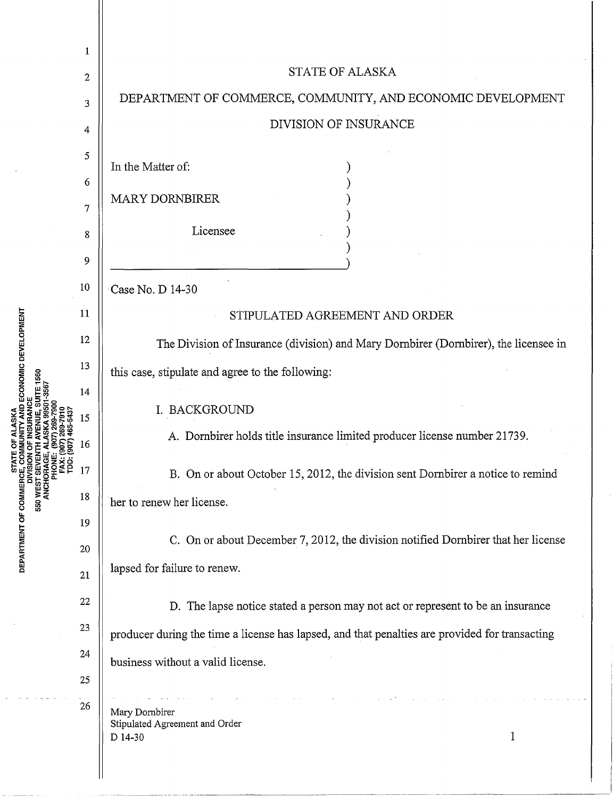|                                                                                                                                                 | 1  |                                                                                                |
|-------------------------------------------------------------------------------------------------------------------------------------------------|----|------------------------------------------------------------------------------------------------|
|                                                                                                                                                 | 2  | STATE OF ALASKA                                                                                |
|                                                                                                                                                 | 3  | DEPARTMENT OF COMMERCE, COMMUNITY, AND ECONOMIC DEVELOPMENT                                    |
|                                                                                                                                                 | 4  | DIVISION OF INSURANCE                                                                          |
|                                                                                                                                                 | 5  |                                                                                                |
|                                                                                                                                                 | 6  | In the Matter of:                                                                              |
|                                                                                                                                                 | 7  | <b>MARY DORNBIRER</b>                                                                          |
|                                                                                                                                                 | 8  | Licensee                                                                                       |
|                                                                                                                                                 | 9  |                                                                                                |
| ECONOMIC DEVELOPMENT                                                                                                                            | 10 | Case No. D 14-30                                                                               |
|                                                                                                                                                 | 11 | STIPULATED AGREEMENT AND ORDER                                                                 |
|                                                                                                                                                 | 12 | The Division of Insurance (division) and Mary Dornbirer (Dornbirer), the licensee in           |
|                                                                                                                                                 | 13 | this case, stipulate and agree to the following:                                               |
| 560                                                                                                                                             | 14 |                                                                                                |
|                                                                                                                                                 | 15 | I. BACKGROUND                                                                                  |
|                                                                                                                                                 | 16 | A. Dornbirer holds title insurance limited producer license number 21739.                      |
|                                                                                                                                                 | 17 | B. On or about October 15, 2012, the division sent Dornbirer a notice to remind                |
| <b>DEPARTMENT OF COMMERCE, C</b><br>INGES TO MEST SEVI<br>USES THE SEVING SEVING SEVING SEVING<br>ANCHORACE SEVING PHON<br>PART SEXING PRODUCED | 18 | her to renew her license.                                                                      |
|                                                                                                                                                 | 19 |                                                                                                |
|                                                                                                                                                 | 20 | C. On or about December 7, 2012, the division notified Dornbirer that her license              |
|                                                                                                                                                 | 21 | lapsed for failure to renew.                                                                   |
|                                                                                                                                                 | 22 | D. The lapse notice stated a person may not act or represent to be an insurance                |
|                                                                                                                                                 | 23 | producer during the time a license has lapsed, and that penalties are provided for transacting |
|                                                                                                                                                 | 24 | business without a valid license.                                                              |
|                                                                                                                                                 | 25 |                                                                                                |
|                                                                                                                                                 | 26 | Mary Dornbirer<br>Stipulated Agreement and Order<br>1<br>D 14-30                               |
|                                                                                                                                                 |    |                                                                                                |

 $\bar{z}$ 

l,

 $\overline{\phantom{a}}$  $\overline{a}$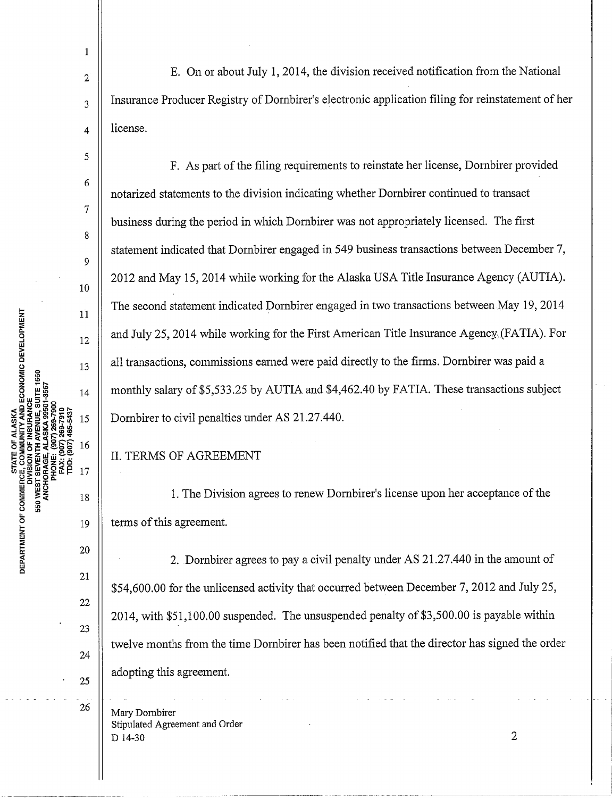(907) 465-543  $(907)$ ANCHORAGE,  $\overline{\sigma}$ **ATMEN** DEP/

1

5

6

7

8

9

10

 $11$ 

12

13

 $14$ 

15

16

17

18

20

21

22

23

24

2  $\parallel$  E. On or about July 1, 2014, the division received notification from the National  $\mathbf{a}_3$  | Insurance Producer Registry of Dornbirer's electronic application filing for reinstatement of her  $_4$  | license.

F. As part of the filing requirements to reinstate her license, Dornbirer provided notarized statements to the division indicating whether Dornbirer continued to transact business during the period in which Dornbirer was not appropriately licensed. The first statement indicated that Dornbirer engaged in 549 business transactions between December 7, 2012 and May 15, 2014 while working for the Alaska USA Title Insurance Agency (AUTIA). The second statement indicated Dornbirer engaged in two transactions between.May 19, 2014 and July 25, 2014 while working for the First American Title Insurance Agency. (FATIA). For all transactions, commissions earned were paid directly to the firms. Dornbirer was paid a monthly salary of \$5,533.25 by AUTIA and \$4,462.40 by FATIA. These transactions subject Dornbirer to civil penalties under AS 21.27.440.

## II. TERMS OF AGREEMENT

1. The Division agrees to renew Dornbirer's license upon her acceptance of the  $19$  | terms of this agreement.

2. Dornbirer agrees to pay a civil penalty under AS 21.27.440 in the amount of \$54,600.00 for the unlicensed activity that occurred between December 7, 2012 and July 25, 2014, with \$51,100.00 suspended. The unsuspended penalty of \$3,500.00 is payable within twelve months from the time Dornbirer has been notified that the director has signed the order  $\mathbf{25}$  || adopting this agreement.

 $\frac{26}{ }$  Mary Dombirer Stipulated Agreement and Order  $D$  14-30 2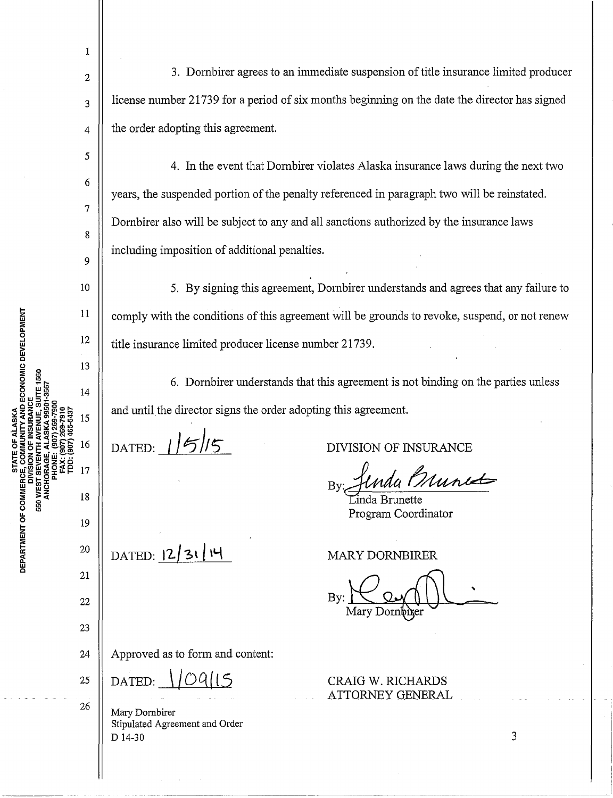3. Dornbirer agrees to an immediate suspension of title insurance limited producer license number 21739 for a period of six months beginning on the date the director has signed the order adopting this agreement.

4. In the event that Dornbirer violates Alaska insurance laws during the next two years, the suspended portion of the penalty referenced in paragraph two will be reinstated. Dornbirer also will be subject to any and all sanctions authorized by the insurance laws including imposition of additional penalties.

5. By signing this agreement, Dornbirer understands and agrees that any failure to comply with the conditions of this agreement will be grounds to revoke, suspend, or not renew title insurance limited producer license number 21739.

6. Dornbirer understands that this agreement is not binding on the parties unless and until the director signs the order adopting this agreement.

DATED:  $115/5$ 

 $\text{DATA}:\mathbb{R}^3$  2/ 31/ 14

1

2

3

4

5

6

7

8

9

10

11

12

13

 $14$ 

15

16

17

18

19

20

21

**TAND ECONOMIC DEVELOPMENT** 

DEPARTMENT OF COMMERCE,

**53M MES** 

22

23

DIVISION OF INSURANCE

Indu *Munist* 

Program Coordinator

MARY DORNBIRER

CRAIG W. RICHARDS ATTORNEY GENERAL

 $By: \n\underbrace{\bigcup_{\text{Mary Donr<sup>ther</sup>$ 

24 | Approved as to form and content:

25  $\parallel$  DATED:

26 | Mary Dornbirer Stipulated Agreement and Order D 14-30

3